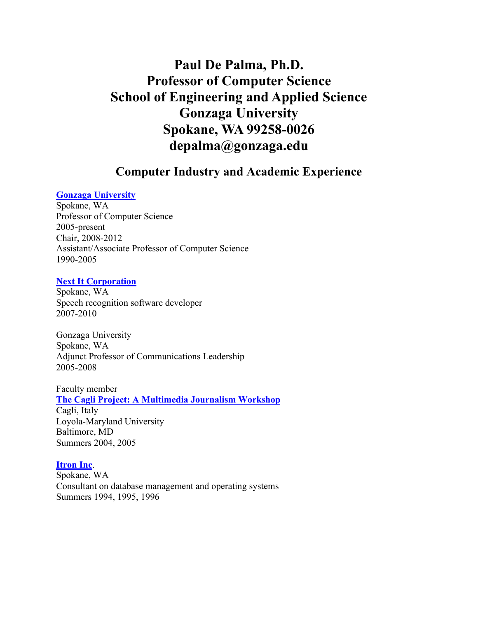# **Paul De Palma, Ph.D. Professor of Computer Science School of Engineering and Applied Science Gonzaga University Spokane, WA 99258-0026 depalma@gonzaga.edu**

## **Computer Industry and Academic Experience**

### **Gonzaga University**

Spokane, WA Professor of Computer Science 2005-present Chair, 2008-2012 Assistant/Associate Professor of Computer Science 1990-2005

#### **Next It Corporation**

Spokane, WA Speech recognition software developer 2007-2010

Gonzaga University Spokane, WA Adjunct Professor of Communications Leadership 2005-2008

Faculty member **The Cagli Project: A Multimedia Journalism Workshop**

Cagli, Italy Loyola-Maryland University Baltimore, MD Summers 2004, 2005

#### **Itron Inc**.

Spokane, WA Consultant on database management and operating systems Summers 1994, 1995, 1996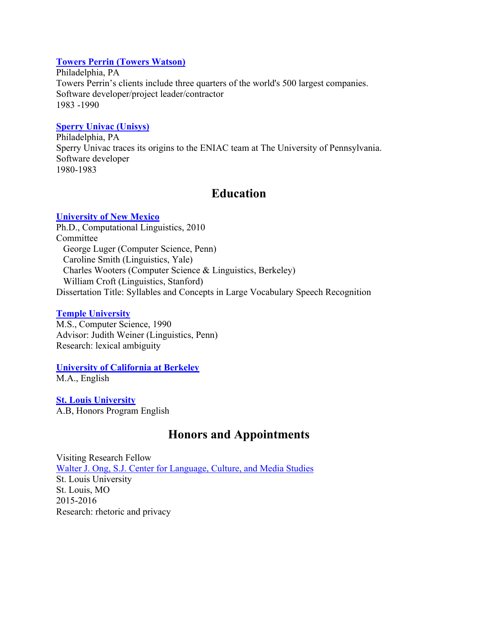### **Towers Perrin (Towers Watson)**

Philadelphia, PA Towers Perrin's clients include three quarters of the world's 500 largest companies. Software developer/project leader/contractor 1983 -1990

#### **Sperry Univac (Unisys)**

Philadelphia, PA Sperry Univac traces its origins to the ENIAC team at The University of Pennsylvania. Software developer 1980-1983

## **Education**

#### **University of New Mexico**

Ph.D., Computational Linguistics, 2010 Committee George Luger (Computer Science, Penn) Caroline Smith (Linguistics, Yale) Charles Wooters (Computer Science & Linguistics, Berkeley) William Croft (Linguistics, Stanford) Dissertation Title: Syllables and Concepts in Large Vocabulary Speech Recognition

#### **Temple University**

M.S., Computer Science, 1990 Advisor: Judith Weiner (Linguistics, Penn) Research: lexical ambiguity

# **University of California at Berkeley**

M.A., English

**St. Louis University** A.B, Honors Program English

## **Honors and Appointments**

Visiting Research Fellow Walter J. Ong, S.J. Center for Language, Culture, and Media Studies St. Louis University St. Louis, MO 2015-2016 Research: rhetoric and privacy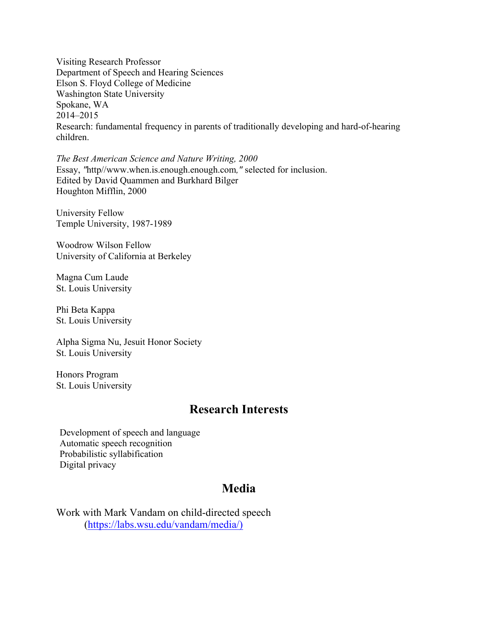Visiting Research Professor Department of Speech and Hearing Sciences Elson S. Floyd College of Medicine Washington State University Spokane, WA 2014–2015 Research: fundamental frequency in parents of traditionally developing and hard-of-hearing children.

*The Best American Science and Nature Writing, 2000* Essay, *"*http//www.when.is.enough.enough.com*,"* selected for inclusion. Edited by David Quammen and Burkhard Bilger Houghton Mifflin, 2000

University Fellow Temple University, 1987-1989

Woodrow Wilson Fellow University of California at Berkeley

Magna Cum Laude St. Louis University

Phi Beta Kappa St. Louis University

Alpha Sigma Nu, Jesuit Honor Society St. Louis University

Honors Program St. Louis University

## **Research Interests**

Development of speech and language Automatic speech recognition Probabilistic syllabification Digital privacy

## **Media**

Work with Mark Vandam on child-directed speech (https://labs.wsu.edu/vandam/media/)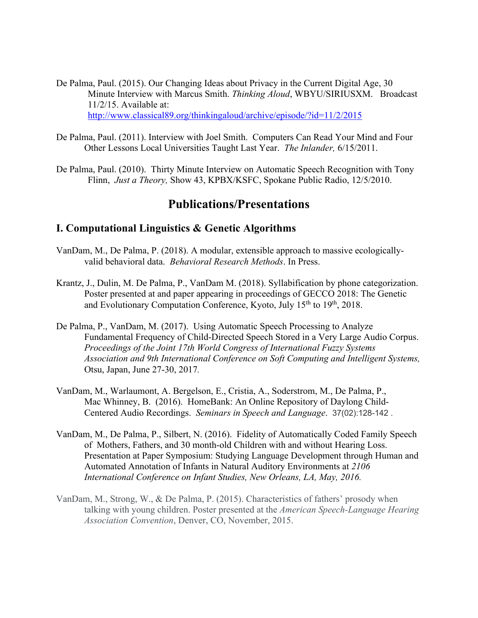- De Palma, Paul. (2015). Our Changing Ideas about Privacy in the Current Digital Age, 30 Minute Interview with Marcus Smith. *Thinking Aloud*, WBYU/SIRIUSXM. Broadcast 11/2/15. Available at: http://www.classical89.org/thinkingaloud/archive/episode/?id=11/2/2015
- De Palma, Paul. (2011). Interview with Joel Smith. Computers Can Read Your Mind and Four Other Lessons Local Universities Taught Last Year. *The Inlander,* 6/15/2011.
- De Palma, Paul. (2010). Thirty Minute Interview on Automatic Speech Recognition with Tony Flinn, *Just a Theory,* Show 43, KPBX/KSFC, Spokane Public Radio, 12/5/2010.

## **Publications/Presentations**

### **I. Computational Linguistics & Genetic Algorithms**

- VanDam, M., De Palma, P. (2018). A modular, extensible approach to massive ecologicallyvalid behavioral data. *Behavioral Research Methods*. In Press.
- Krantz, J., Dulin, M. De Palma, P., VanDam M. (2018). Syllabification by phone categorization. Poster presented at and paper appearing in proceedings of GECCO 2018: The Genetic and Evolutionary Computation Conference, Kyoto, July  $15<sup>th</sup>$  to  $19<sup>th</sup>$ , 2018.
- De Palma, P., VanDam, M. (2017). Using Automatic Speech Processing to Analyze Fundamental Frequency of Child-Directed Speech Stored in a Very Large Audio Corpus. *Proceedings of the Joint 17th World Congress of International Fuzzy Systems Association and 9th International Conference on Soft Computing and Intelligent Systems,*  Otsu, Japan, June 27-30, 2017*.*
- VanDam, M., Warlaumont, A. Bergelson, E., Cristia, A., Soderstrom, M., De Palma, P., Mac Whinney, B. (2016). HomeBank: An Online Repository of Daylong Child-Centered Audio Recordings. *Seminars in Speech and Language*. 37(02):128-142 .
- VanDam, M., De Palma, P., Silbert, N. (2016). Fidelity of Automatically Coded Family Speech of Mothers, Fathers, and 30 month-old Children with and without Hearing Loss. Presentation at Paper Symposium: Studying Language Development through Human and Automated Annotation of Infants in Natural Auditory Environments at *2106 International Conference on Infant Studies, New Orleans, LA, May, 2016.*
- VanDam, M., Strong, W., & De Palma, P. (2015). Characteristics of fathers' prosody when talking with young children. Poster presented at the *American Speech-Language Hearing Association Convention*, Denver, CO, November, 2015.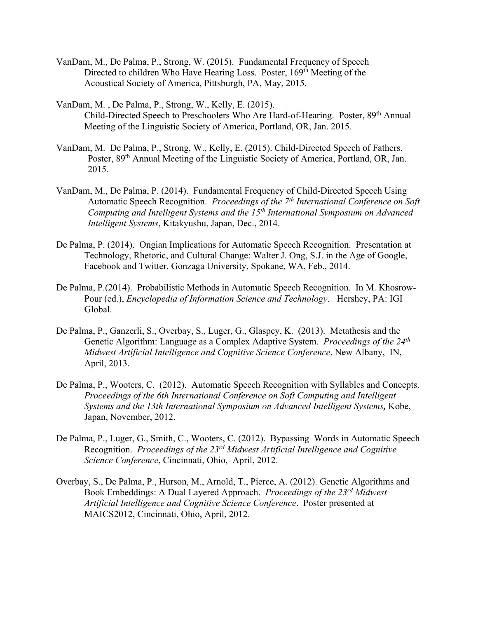- VanDam, M., De Palma, P., Strong, W. (2015). Fundamental Frequency of Speech Directed to children Who Have Hearing Loss. Poster, 169<sup>th</sup> Meeting of the Acoustical Society of America, Pittsburgh, PA, May, 2015.
- VanDam, M. , De Palma, P., Strong, W., Kelly, E. (2015). Child-Directed Speech to Preschoolers Who Are Hard-of-Hearing. Poster, 89<sup>th</sup> Annual Meeting of the Linguistic Society of America, Portland, OR, Jan. 2015.
- VanDam, M. De Palma, P., Strong, W., Kelly, E. (2015). Child-Directed Speech of Fathers. Poster, 89<sup>th</sup> Annual Meeting of the Linguistic Society of America, Portland, OR, Jan. 2015.
- VanDam, M., De Palma, P. (2014). Fundamental Frequency of Child-Directed Speech Using Automatic Speech Recognition. *Proceedings of the 7th International Conference on Soft Computing and Intelligent Systems and the 15th International Symposium on Advanced Intelligent Systems*, Kitakyushu, Japan, Dec., 2014.
- De Palma, P. (2014). Ongian Implications for Automatic Speech Recognition. Presentation at Technology, Rhetoric, and Cultural Change: Walter J. Ong, S.J. in the Age of Google, Facebook and Twitter, Gonzaga University, Spokane, WA, Feb., 2014.
- De Palma, P.(2014). Probabilistic Methods in Automatic Speech Recognition. In M. Khosrow-Pour (ed.), *Encyclopedia of Information Science and Technology*. Hershey, PA: IGI Global.
- De Palma, P., Ganzerli, S., Overbay, S., Luger, G., Glaspey, K. (2013). Metathesis and the Genetic Algorithm: Language as a Complex Adaptive System. *Proceedings of the 24th Midwest Artificial Intelligence and Cognitive Science Conference*, New Albany, IN, April, 2013.
- De Palma, P., Wooters, C. (2012). Automatic Speech Recognition with Syllables and Concepts. *Proceedings of the 6th International Conference on Soft Computing and Intelligent Systems and the 13th International Symposium on Advanced Intelligent Systems,* Kobe, Japan, November, 2012.
- De Palma, P., Luger, G., Smith, C., Wooters, C. (2012). Bypassing Words in Automatic Speech Recognition. *Proceedings of the 23rd Midwest Artificial Intelligence and Cognitive Science Conference*, Cincinnati, Ohio, April, 2012.
- Overbay, S., De Palma, P., Hurson, M., Arnold, T., Pierce, A. (2012). Genetic Algorithms and Book Embeddings: A Dual Layered Approach. *Proceedings of the 23rd Midwest Artificial Intelligence and Cognitive Science Conference*. Poster presented at MAICS2012, Cincinnati, Ohio, April, 2012.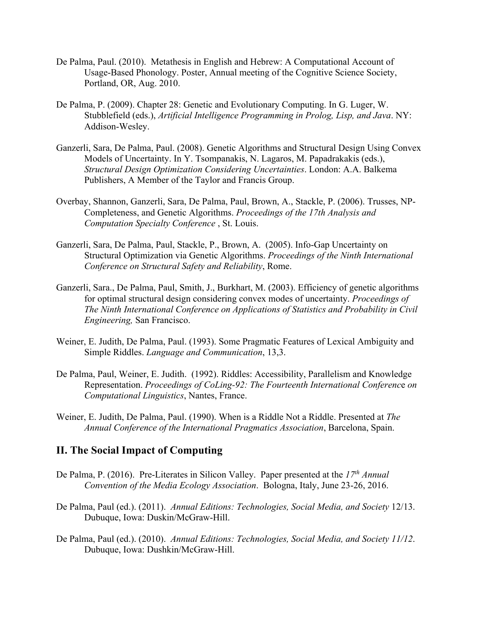- De Palma, Paul. (2010). Metathesis in English and Hebrew: A Computational Account of Usage-Based Phonology. Poster, Annual meeting of the Cognitive Science Society, Portland, OR, Aug. 2010.
- De Palma, P. (2009). Chapter 28: Genetic and Evolutionary Computing. In G. Luger, W. Stubblefield (eds.), *Artificial Intelligence Programming in Prolog, Lisp, and Java*. NY: Addison-Wesley.
- Ganzerli, Sara, De Palma, Paul. (2008). Genetic Algorithms and Structural Design Using Convex Models of Uncertainty. In Y. Tsompanakis, N. Lagaros, M. Papadrakakis (eds.), *Structural Design Optimization Considering Uncertainties*. London: A.A. Balkema Publishers, A Member of the Taylor and Francis Group.
- Overbay, Shannon, Ganzerli, Sara, De Palma, Paul, Brown, A., Stackle, P. (2006). Trusses, NP-Completeness, and Genetic Algorithms. *Proceedings of the 17th Analysis and Computation Specialty Conference* , St. Louis.
- Ganzerli, Sara, De Palma, Paul, Stackle, P., Brown, A. (2005). Info-Gap Uncertainty on Structural Optimization via Genetic Algorithms. *Proceedings of the Ninth International Conference on Structural Safety and Reliability*, Rome.
- Ganzerli, Sara., De Palma, Paul, Smith, J., Burkhart, M. (2003). Efficiency of genetic algorithms for optimal structural design considering convex modes of uncertainty. *Proceedings of The Ninth International Conference on Applications of Statistics and Probability in Civil Engineering,* San Francisco.
- Weiner, E. Judith, De Palma, Paul. (1993). Some Pragmatic Features of Lexical Ambiguity and Simple Riddles. *Language and Communication*, 13,3.
- De Palma, Paul, Weiner, E. Judith. (1992). Riddles: Accessibility, Parallelism and Knowledge Representation. *Proceedings of CoLing-92: The Fourteenth International Conferenc*e *on Computational Linguistics*, Nantes, France.
- Weiner, E. Judith, De Palma, Paul. (1990). When is a Riddle Not a Riddle. Presented at *The Annual Conference of the International Pragmatics Association*, Barcelona, Spain.

### **II. The Social Impact of Computing**

- De Palma, P. (2016). Pre-Literates in Silicon Valley. Paper presented at the *17th Annual Convention of the Media Ecology Association*. Bologna, Italy, June 23-26, 2016.
- De Palma, Paul (ed.). (2011). *Annual Editions: Technologies, Social Media, and Society* 12/13. Dubuque, Iowa: Duskin/McGraw-Hill.
- De Palma, Paul (ed.). (2010). *Annual Editions: Technologies, Social Media, and Society 11/12*. Dubuque, Iowa: Dushkin/McGraw-Hill.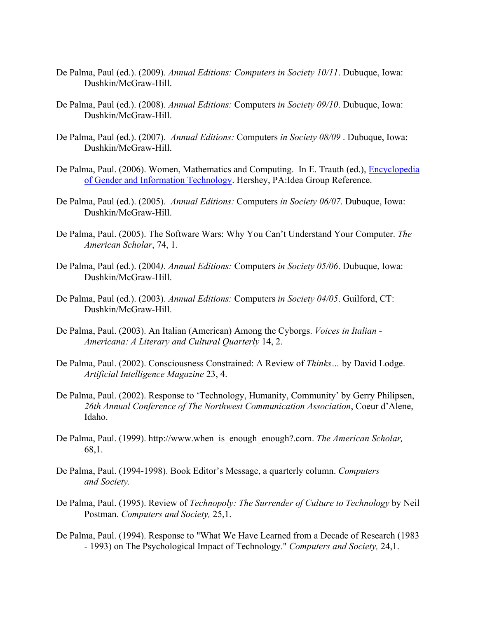- De Palma, Paul (ed.). (2009). *Annual Editions: Computers in Society 10/11*. Dubuque, Iowa: Dushkin/McGraw-Hill.
- De Palma, Paul (ed.). (2008). *Annual Editions:* Computers *in Society 09/10*. Dubuque, Iowa: Dushkin/McGraw-Hill.
- De Palma, Paul (ed.). (2007). *Annual Editions:* Computers *in Society 08/09* . Dubuque, Iowa: Dushkin/McGraw-Hill.
- De Palma, Paul. (2006). Women, Mathematics and Computing. In E. Trauth (ed.), Encyclopedia of Gender and Information Technology. Hershey, PA:Idea Group Reference.
- De Palma, Paul (ed.). (2005). *Annual Editions:* Computers *in Society 06/07*. Dubuque, Iowa: Dushkin/McGraw-Hill.
- De Palma, Paul. (2005). The Software Wars: Why You Can't Understand Your Computer. *The American Scholar*, 74, 1.
- De Palma, Paul (ed.). (2004*). Annual Editions:* Computers *in Society 05/06*. Dubuque, Iowa: Dushkin/McGraw-Hill.
- De Palma, Paul (ed.). (2003). *Annual Editions:* Computers *in Society 04/05*. Guilford, CT: Dushkin/McGraw-Hill.
- De Palma, Paul. (2003). An Italian (American) Among the Cyborgs. *Voices in Italian - Americana: A Literary and Cultural Quarterly* 14, 2.
- De Palma, Paul. (2002). Consciousness Constrained: A Review of *Thinks…* by David Lodge. *Artificial Intelligence Magazine* 23, 4.
- De Palma, Paul. (2002). Response to 'Technology, Humanity, Community' by Gerry Philipsen, *26th Annual Conference of The Northwest Communication Association*, Coeur d'Alene, Idaho.
- De Palma, Paul. (1999). http://www.when\_is\_enough\_enough?.com. *The American Scholar,*  68,1.
- De Palma, Paul. (1994-1998). Book Editor's Message, a quarterly column. *Computers and Society.*
- De Palma, Paul. (1995). Review of *Technopoly: The Surrender of Culture to Technology* by Neil Postman. *Computers and Society,* 25,1.
- De Palma, Paul. (1994). Response to "What We Have Learned from a Decade of Research (1983 - 1993) on The Psychological Impact of Technology." *Computers and Society,* 24,1.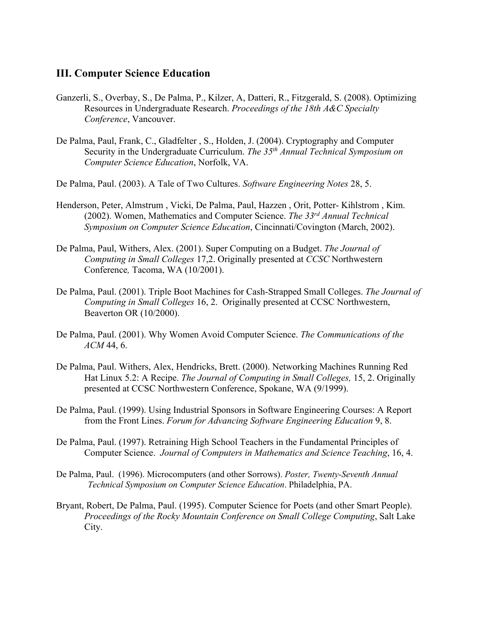### **III. Computer Science Education**

- Ganzerli, S., Overbay, S., De Palma, P., Kilzer, A, Datteri, R., Fitzgerald, S. (2008). Optimizing Resources in Undergraduate Research. *Proceedings of the 18th A&C Specialty Conference*, Vancouver.
- De Palma, Paul, Frank, C., Gladfelter , S., Holden, J. (2004). Cryptography and Computer Security in the Undergraduate Curriculum. *The 35th Annual Technical Symposium on Computer Science Education*, Norfolk, VA.
- De Palma, Paul. (2003). A Tale of Two Cultures. *Software Engineering Notes* 28, 5.
- Henderson, Peter, Almstrum , Vicki, De Palma, Paul, Hazzen , Orit, Potter- Kihlstrom , Kim. (2002). Women, Mathematics and Computer Science. *The 33rd Annual Technical Symposium on Computer Science Education*, Cincinnati/Covington (March, 2002).
- De Palma, Paul, Withers, Alex. (2001). Super Computing on a Budget. *The Journal of Computing in Small Colleges* 17,2. Originally presented at *CCSC* Northwestern Conference*,* Tacoma, WA (10/2001).
- De Palma, Paul. (2001). Triple Boot Machines for Cash-Strapped Small Colleges. *The Journal of Computing in Small Colleges* 16, 2. Originally presented at CCSC Northwestern, Beaverton OR (10/2000).
- De Palma, Paul. (2001). Why Women Avoid Computer Science. *The Communications of the ACM* 44, 6.
- De Palma, Paul. Withers, Alex, Hendricks, Brett. (2000). Networking Machines Running Red Hat Linux 5.2: A Recipe. *The Journal of Computing in Small Colleges,* 15, 2. Originally presented at CCSC Northwestern Conference, Spokane, WA (9/1999).
- De Palma, Paul. (1999). Using Industrial Sponsors in Software Engineering Courses: A Report from the Front Lines. *Forum for Advancing Software Engineering Education* 9, 8.
- De Palma, Paul. (1997). Retraining High School Teachers in the Fundamental Principles of Computer Science. *Journal of Computers in Mathematics and Science Teaching*, 16, 4.
- De Palma, Paul. (1996). Microcomputers (and other Sorrows). *Poster, Twenty-Seventh Annual Technical Symposium on Computer Science Education*. Philadelphia, PA.
- Bryant, Robert, De Palma, Paul. (1995). Computer Science for Poets (and other Smart People). *Proceedings of the Rocky Mountain Conference on Small College Computing*, Salt Lake City.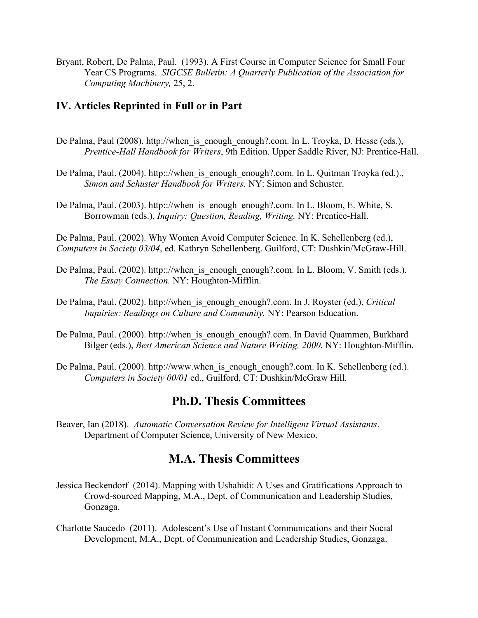Bryant, Robert, De Palma, Paul. (1993). A First Course in Computer Science for Small Four Year CS Programs. *SIGCSE Bulletin: A Quarterly Publication of the Association for Computing Machinery,* 25, 2.

### **IV. Articles Reprinted in Full or in Part**

De Palma, Paul (2008). http://when is enough enough?.com. In L. Troyka, D. Hesse (eds.), *Prentice-Hall Handbook for Writers*, 9th Edition. Upper Saddle River, NJ: Prentice-Hall.

De Palma, Paul. (2004). http:://when is enough enough?.com. In L. Quitman Troyka (ed.)., *Simon and Schuster Handbook for Writers.* NY: Simon and Schuster.

De Palma, Paul. (2003). http:://when is enough enough?.com. In L. Bloom, E. White, S. Borrowman (eds.), *Inquiry: Question, Reading, Writing.* NY: Prentice-Hall.

De Palma, Paul. (2002). Why Women Avoid Computer Science. In K. Schellenberg (ed.), *Computers in Society 03/04*, ed. Kathryn Schellenberg. Guilford, CT: Dushkin/McGraw-Hill.

- De Palma, Paul. (2002). http:://when\_is\_enough\_enough?.com. In L. Bloom, V. Smith (eds.). *The Essay Connection.* NY: Houghton-Mifflin.
- De Palma, Paul. (2002). http://when\_is\_enough\_enough?.com. In J. Royster (ed.), *Critical Inquiries: Readings on Culture and Community.* NY: Pearson Education.
- De Palma, Paul. (2000). http://when is enough enough?.com. In David Quammen, Burkhard Bilger (eds.), *Best American Science and Nature Writing, 2000.* NY: Houghton-Mifflin.
- De Palma, Paul. (2000). http://www.when\_is\_enough\_enough?.com. In K. Schellenberg (ed.). *Computers in Society 00/01* ed., Guilford, CT: Dushkin/McGraw Hill.

## **Ph.D. Thesis Committees**

Beaver, Ian (2018). *Automatic Conversation Review for Intelligent Virtual Assistants*. Department of Computer Science, University of New Mexico.

## **M.A. Thesis Committees**

- Jessica Beckendorf (2014). Mapping with Ushahidi: A Uses and Gratifications Approach to Crowd-sourced Mapping, M.A., Dept. of Communication and Leadership Studies, Gonzaga.
- Charlotte Saucedo (2011). Adolescent's Use of Instant Communications and their Social Development, M.A., Dept. of Communication and Leadership Studies, Gonzaga.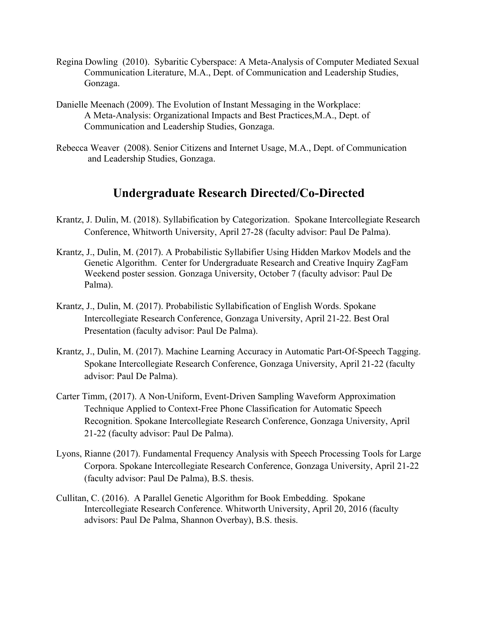- Regina Dowling (2010). Sybaritic Cyberspace: A Meta-Analysis of Computer Mediated Sexual Communication Literature, M.A., Dept. of Communication and Leadership Studies, Gonzaga.
- Danielle Meenach (2009). The Evolution of Instant Messaging in the Workplace: A Meta-Analysis: Organizational Impacts and Best Practices,M.A., Dept. of Communication and Leadership Studies, Gonzaga.
- Rebecca Weaver (2008). Senior Citizens and Internet Usage, M.A., Dept. of Communication and Leadership Studies, Gonzaga.

## **Undergraduate Research Directed/Co-Directed**

- Krantz, J. Dulin, M. (2018). Syllabification by Categorization. Spokane Intercollegiate Research Conference, Whitworth University, April 27-28 (faculty advisor: Paul De Palma).
- Krantz, J., Dulin, M. (2017). A Probabilistic Syllabifier Using Hidden Markov Models and the Genetic Algorithm. Center for Undergraduate Research and Creative Inquiry ZagFam Weekend poster session. Gonzaga University, October 7 (faculty advisor: Paul De Palma).
- Krantz, J., Dulin, M. (2017). Probabilistic Syllabification of English Words. Spokane Intercollegiate Research Conference, Gonzaga University, April 21-22. Best Oral Presentation (faculty advisor: Paul De Palma).
- Krantz, J., Dulin, M. (2017). Machine Learning Accuracy in Automatic Part-Of-Speech Tagging. Spokane Intercollegiate Research Conference, Gonzaga University, April 21-22 (faculty advisor: Paul De Palma).
- Carter Timm, (2017). A Non-Uniform, Event-Driven Sampling Waveform Approximation Technique Applied to Context-Free Phone Classification for Automatic Speech Recognition. Spokane Intercollegiate Research Conference, Gonzaga University, April 21-22 (faculty advisor: Paul De Palma).
- Lyons, Rianne (2017). Fundamental Frequency Analysis with Speech Processing Tools for Large Corpora. Spokane Intercollegiate Research Conference, Gonzaga University, April 21-22 (faculty advisor: Paul De Palma), B.S. thesis.
- Cullitan, C. (2016). A Parallel Genetic Algorithm for Book Embedding. Spokane Intercollegiate Research Conference. Whitworth University, April 20, 2016 (faculty advisors: Paul De Palma, Shannon Overbay), B.S. thesis.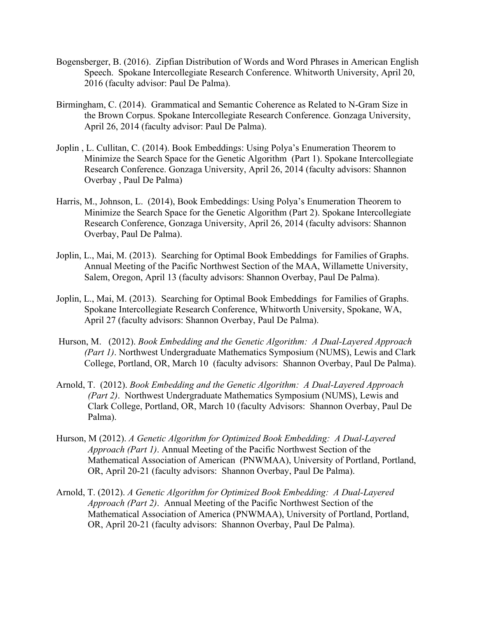- Bogensberger, B. (2016). Zipfian Distribution of Words and Word Phrases in American English Speech. Spokane Intercollegiate Research Conference. Whitworth University, April 20, 2016 (faculty advisor: Paul De Palma).
- Birmingham, C. (2014). Grammatical and Semantic Coherence as Related to N-Gram Size in the Brown Corpus. Spokane Intercollegiate Research Conference. Gonzaga University, April 26, 2014 (faculty advisor: Paul De Palma).
- Joplin , L. Cullitan, C. (2014). Book Embeddings: Using Polya's Enumeration Theorem to Minimize the Search Space for the Genetic Algorithm (Part 1). Spokane Intercollegiate Research Conference. Gonzaga University, April 26, 2014 (faculty advisors: Shannon Overbay , Paul De Palma)
- Harris, M., Johnson, L. (2014), Book Embeddings: Using Polya's Enumeration Theorem to Minimize the Search Space for the Genetic Algorithm (Part 2). Spokane Intercollegiate Research Conference, Gonzaga University, April 26, 2014 (faculty advisors: Shannon Overbay, Paul De Palma).
- Joplin, L., Mai, M. (2013). Searching for Optimal Book Embeddings for Families of Graphs. Annual Meeting of the Pacific Northwest Section of the MAA, Willamette University, Salem, Oregon, April 13 (faculty advisors: Shannon Overbay, Paul De Palma).
- Joplin, L., Mai, M. (2013). Searching for Optimal Book Embeddings for Families of Graphs. Spokane Intercollegiate Research Conference, Whitworth University, Spokane, WA, April 27 (faculty advisors: Shannon Overbay, Paul De Palma).
- Hurson, M. (2012). *Book Embedding and the Genetic Algorithm: A Dual-Layered Approach (Part 1)*. Northwest Undergraduate Mathematics Symposium (NUMS), Lewis and Clark College, Portland, OR, March 10 (faculty advisors: Shannon Overbay, Paul De Palma).
- Arnold, T. (2012). *Book Embedding and the Genetic Algorithm: A Dual-Layered Approach (Part 2)*. Northwest Undergraduate Mathematics Symposium (NUMS), Lewis and Clark College, Portland, OR, March 10 (faculty Advisors: Shannon Overbay, Paul De Palma).
- Hurson, M (2012). *A Genetic Algorithm for Optimized Book Embedding: A Dual-Layered Approach (Part 1)*. Annual Meeting of the Pacific Northwest Section of the Mathematical Association of American (PNWMAA), University of Portland, Portland, OR, April 20-21 (faculty advisors: Shannon Overbay, Paul De Palma).
- Arnold, T. (2012). *A Genetic Algorithm for Optimized Book Embedding: A Dual-Layered Approach (Part 2)*. Annual Meeting of the Pacific Northwest Section of the Mathematical Association of America (PNWMAA), University of Portland, Portland, OR, April 20-21 (faculty advisors: Shannon Overbay, Paul De Palma).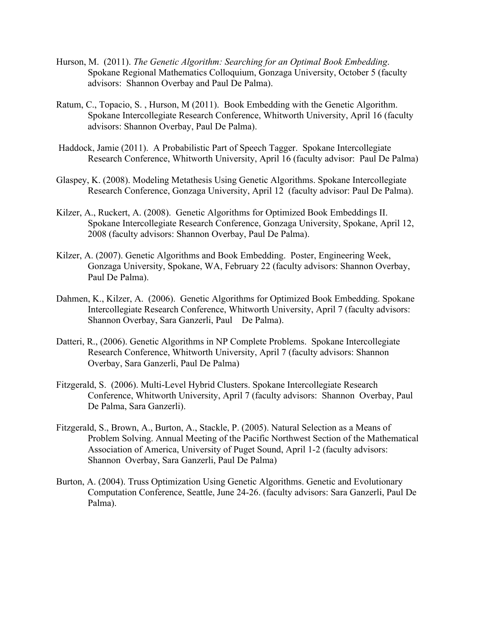- Hurson, M. (2011). *The Genetic Algorithm: Searching for an Optimal Book Embedding*. Spokane Regional Mathematics Colloquium, Gonzaga University, October 5 (faculty advisors: Shannon Overbay and Paul De Palma).
- Ratum, C., Topacio, S. , Hurson, M (2011). Book Embedding with the Genetic Algorithm. Spokane Intercollegiate Research Conference, Whitworth University, April 16 (faculty advisors: Shannon Overbay, Paul De Palma).
- Haddock, Jamie (2011). A Probabilistic Part of Speech Tagger. Spokane Intercollegiate Research Conference, Whitworth University, April 16 (faculty advisor: Paul De Palma)
- Glaspey, K. (2008). Modeling Metathesis Using Genetic Algorithms. Spokane Intercollegiate Research Conference, Gonzaga University, April 12 (faculty advisor: Paul De Palma).
- Kilzer, A., Ruckert, A. (2008). Genetic Algorithms for Optimized Book Embeddings II. Spokane Intercollegiate Research Conference, Gonzaga University, Spokane, April 12, 2008 (faculty advisors: Shannon Overbay, Paul De Palma).
- Kilzer, A. (2007). Genetic Algorithms and Book Embedding. Poster, Engineering Week, Gonzaga University, Spokane, WA, February 22 (faculty advisors: Shannon Overbay, Paul De Palma).
- Dahmen, K., Kilzer, A. (2006). Genetic Algorithms for Optimized Book Embedding. Spokane Intercollegiate Research Conference, Whitworth University, April 7 (faculty advisors: Shannon Overbay, Sara Ganzerli, Paul De Palma).
- Datteri, R., (2006). Genetic Algorithms in NP Complete Problems. Spokane Intercollegiate Research Conference, Whitworth University, April 7 (faculty advisors: Shannon Overbay, Sara Ganzerli, Paul De Palma)
- Fitzgerald, S. (2006). Multi-Level Hybrid Clusters. Spokane Intercollegiate Research Conference, Whitworth University, April 7 (faculty advisors: Shannon Overbay, Paul De Palma, Sara Ganzerli).
- Fitzgerald, S., Brown, A., Burton, A., Stackle, P. (2005). Natural Selection as a Means of Problem Solving. Annual Meeting of the Pacific Northwest Section of the Mathematical Association of America, University of Puget Sound, April 1-2 (faculty advisors: Shannon Overbay, Sara Ganzerli, Paul De Palma)
- Burton, A. (2004). Truss Optimization Using Genetic Algorithms. Genetic and Evolutionary Computation Conference, Seattle, June 24-26. (faculty advisors: Sara Ganzerli, Paul De Palma).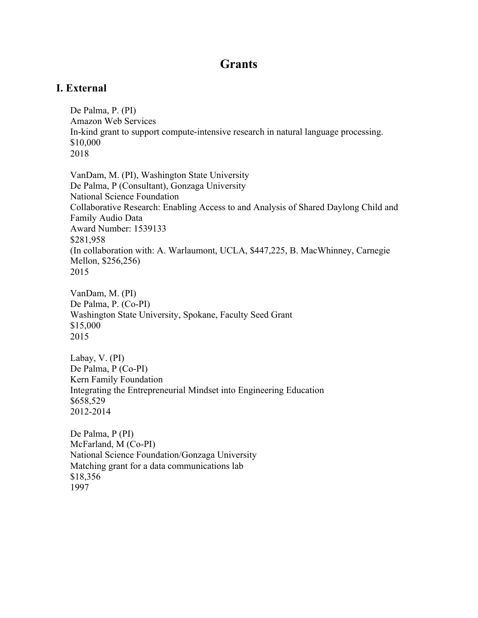## **Grants**

### **I. External**

De Palma, P. (PI) Amazon Web Services In-kind grant to support compute-intensive research in natural language processing. \$10,000 2018

VanDam, M. (PI), Washington State University De Palma, P (Consultant), Gonzaga University National Science Foundation Collaborative Research: Enabling Access to and Analysis of Shared Daylong Child and Family Audio Data Award Number: 1539133 \$281,958 (In collaboration with: A. Warlaumont, UCLA, \$447,225, B. MacWhinney, Carnegie Mellon, \$256,256) 2015

VanDam, M. (PI) De Palma, P. (Co-PI) Washington State University, Spokane, Faculty Seed Grant \$15,000 2015

Labay, V. (PI) De Palma, P (Co-PI) Kern Family Foundation Integrating the Entrepreneurial Mindset into Engineering Education \$658,529 2012-2014

De Palma, P (PI) McFarland, M (Co-PI) National Science Foundation/Gonzaga University Matching grant for a data communications lab \$18,356 1997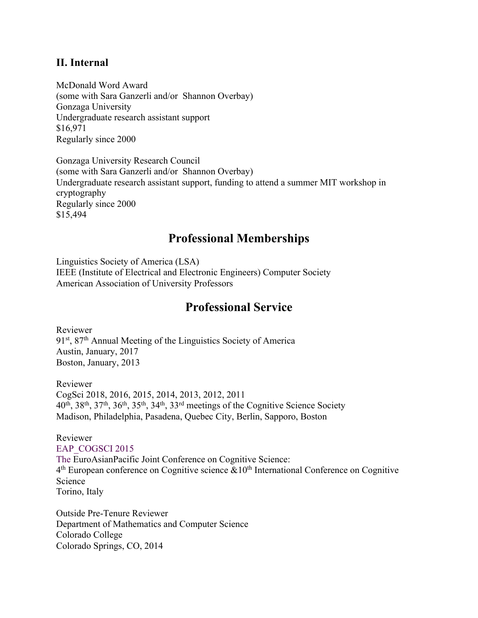### **II. Internal**

McDonald Word Award (some with Sara Ganzerli and/or Shannon Overbay) Gonzaga University Undergraduate research assistant support \$16,971 Regularly since 2000

Gonzaga University Research Council (some with Sara Ganzerli and/or Shannon Overbay) Undergraduate research assistant support, funding to attend a summer MIT workshop in cryptography Regularly since 2000 \$15,494

## **Professional Memberships**

Linguistics Society of America (LSA) IEEE (Institute of Electrical and Electronic Engineers) Computer Society American Association of University Professors

## **Professional Service**

Reviewer 91<sup>st</sup>, 87<sup>th</sup> Annual Meeting of the Linguistics Society of America Austin, January, 2017 Boston, January, 2013

Reviewer CogSci 2018, 2016, 2015, 2014, 2013, 2012, 2011 40th, 38th, 37th, 36th, 35th, 34th, 33rd meetings of the Cognitive Science Society Madison, Philadelphia, Pasadena, Quebec City, Berlin, Sapporo, Boston

Reviewer EAP\_COGSCI 2015 The EuroAsianPacific Joint Conference on Cognitive Science: 4<sup>th</sup> European conference on Cognitive science &10<sup>th</sup> International Conference on Cognitive Science Torino, Italy

Outside Pre-Tenure Reviewer Department of Mathematics and Computer Science Colorado College Colorado Springs, CO, 2014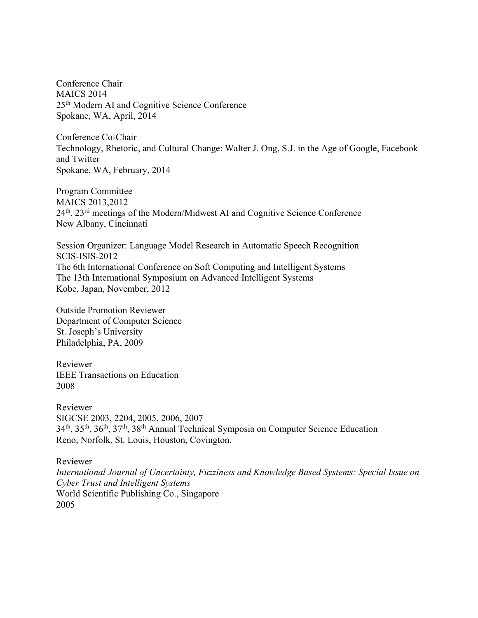Conference Chair MAICS 2014 25th Modern AI and Cognitive Science Conference Spokane, WA, April, 2014

Conference Co-Chair Technology, Rhetoric, and Cultural Change: Walter J. Ong, S.J. in the Age of Google, Facebook and Twitter Spokane, WA, February, 2014

Program Committee MAICS 2013,2012 24th, 23rd meetings of the Modern/Midwest AI and Cognitive Science Conference New Albany, Cincinnati

Session Organizer: Language Model Research in Automatic Speech Recognition SCIS-ISIS-2012 The 6th International Conference on Soft Computing and Intelligent Systems The 13th International Symposium on Advanced Intelligent Systems Kobe, Japan, November, 2012

Outside Promotion Reviewer Department of Computer Science St. Joseph's University Philadelphia, PA, 2009

Reviewer IEEE Transactions on Education 2008

Reviewer SIGCSE 2003, 2204, 2005, 2006, 2007 34th, 35th, 36th, 37th, 38th Annual Technical Symposia on Computer Science Education Reno, Norfolk, St. Louis, Houston, Covington.

Reviewer *International Journal of Uncertainty, Fuzziness and Knowledge Based Systems: Special Issue on Cyber Trust and Intelligent Systems* World Scientific Publishing Co., Singapore 2005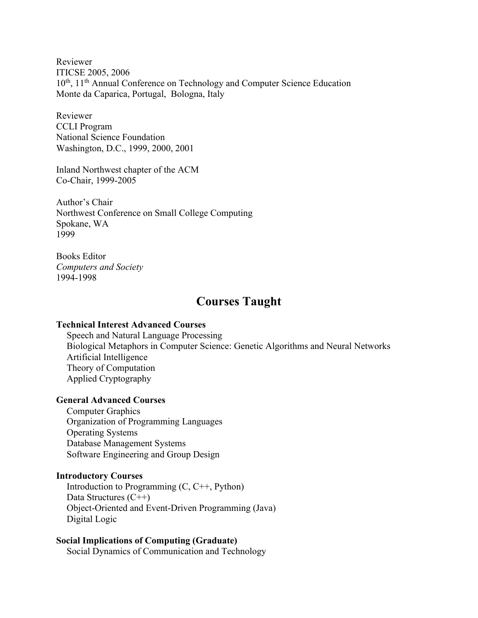Reviewer ITICSE 2005, 2006 10<sup>th</sup>, 11<sup>th</sup> Annual Conference on Technology and Computer Science Education Monte da Caparica, Portugal, Bologna, Italy

Reviewer CCLI Program National Science Foundation Washington, D.C., 1999, 2000, 2001

Inland Northwest chapter of the ACM Co-Chair, 1999-2005

Author's Chair Northwest Conference on Small College Computing Spokane, WA 1999

Books Editor *Computers and Society* 1994-1998

## **Courses Taught**

#### **Technical Interest Advanced Courses**

Speech and Natural Language Processing Biological Metaphors in Computer Science: Genetic Algorithms and Neural Networks Artificial Intelligence Theory of Computation Applied Cryptography

#### **General Advanced Courses**

Computer Graphics Organization of Programming Languages Operating Systems Database Management Systems Software Engineering and Group Design

#### **Introductory Courses**

Introduction to Programming (C, C++, Python) Data Structures (C++) Object-Oriented and Event-Driven Programming (Java) Digital Logic

**Social Implications of Computing (Graduate)** Social Dynamics of Communication and Technology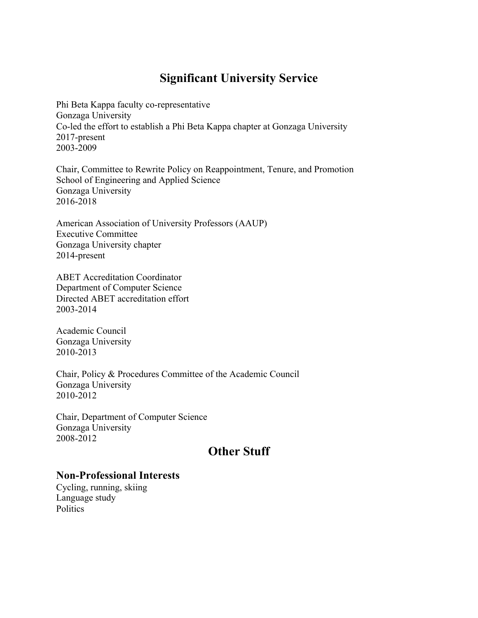## **Significant University Service**

Phi Beta Kappa faculty co-representative Gonzaga University Co-led the effort to establish a Phi Beta Kappa chapter at Gonzaga University 2017-present 2003-2009

Chair, Committee to Rewrite Policy on Reappointment, Tenure, and Promotion School of Engineering and Applied Science Gonzaga University 2016-2018

American Association of University Professors (AAUP) Executive Committee Gonzaga University chapter 2014-present

ABET Accreditation Coordinator Department of Computer Science Directed ABET accreditation effort 2003-2014

Academic Council Gonzaga University 2010-2013

Chair, Policy & Procedures Committee of the Academic Council Gonzaga University 2010-2012

Chair, Department of Computer Science Gonzaga University 2008-2012

## **Other Stuff**

### **Non-Professional Interests**

Cycling, running, skiing Language study **Politics**